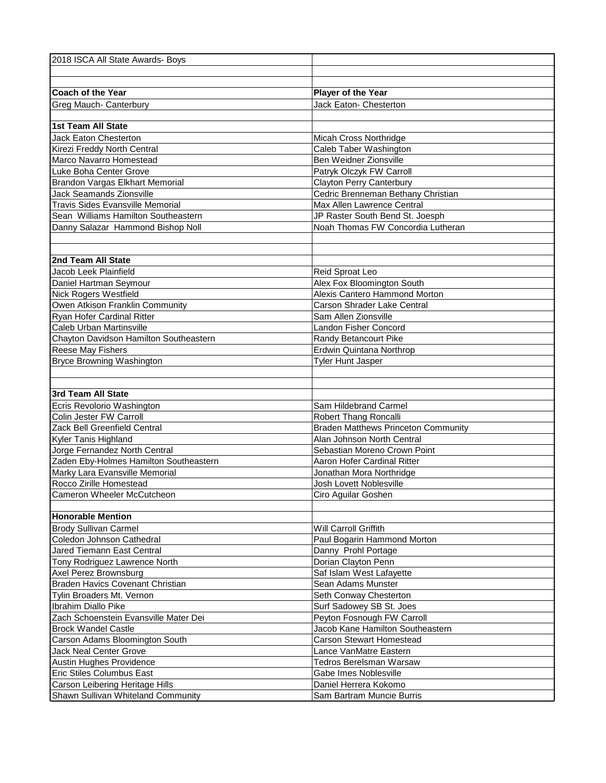| 2018 ISCA All State Awards- Boys                      |                                                                     |
|-------------------------------------------------------|---------------------------------------------------------------------|
|                                                       |                                                                     |
|                                                       |                                                                     |
| <b>Coach of the Year</b>                              | Player of the Year                                                  |
| Greg Mauch- Canterbury                                | Jack Eaton- Chesterton                                              |
|                                                       |                                                                     |
| 1st Team All State                                    |                                                                     |
| <b>Jack Eaton Chesterton</b>                          | Micah Cross Northridge                                              |
| Kirezi Freddy North Central                           | Caleb Taber Washington                                              |
| Marco Navarro Homestead                               | Ben Weidner Zionsville                                              |
| Luke Boha Center Grove                                | Patryk Olczyk FW Carroll                                            |
| Brandon Vargas Elkhart Memorial                       | <b>Clayton Perry Canterbury</b>                                     |
| <b>Jack Seamands Zionsville</b>                       | Cedric Brenneman Bethany Christian                                  |
| Travis Sides Evansville Memorial                      | Max Allen Lawrence Central                                          |
| Sean Williams Hamilton Southeastern                   | JP Raster South Bend St. Joesph                                     |
| Danny Salazar Hammond Bishop Noll                     | Noah Thomas FW Concordia Lutheran                                   |
|                                                       |                                                                     |
|                                                       |                                                                     |
| 2nd Team All State                                    |                                                                     |
| Jacob Leek Plainfield                                 | Reid Sproat Leo                                                     |
| Daniel Hartman Seymour                                | Alex Fox Bloomington South                                          |
| <b>Nick Rogers Westfield</b>                          | Alexis Cantero Hammond Morton                                       |
| Owen Atkison Franklin Community                       | Carson Shrader Lake Central                                         |
| Ryan Hofer Cardinal Ritter                            | Sam Allen Zionsville                                                |
| Caleb Urban Martinsville                              | Landon Fisher Concord                                               |
| Chayton Davidson Hamilton Southeastern                | Randy Betancourt Pike                                               |
| Reese May Fishers                                     | Erdwin Quintana Northrop                                            |
| <b>Bryce Browning Washington</b>                      | <b>Tyler Hunt Jasper</b>                                            |
|                                                       |                                                                     |
| 3rd Team All State                                    |                                                                     |
|                                                       |                                                                     |
| Ecris Revolorio Washington                            | Sam Hildebrand Carmel                                               |
| Colin Jester FW Carroll                               | Robert Thang Roncalli<br><b>Braden Matthews Princeton Community</b> |
| Zack Bell Greenfield Central                          | Alan Johnson North Central                                          |
| Kyler Tanis Highland<br>Jorge Fernandez North Central | Sebastian Moreno Crown Point                                        |
| Zaden Eby-Holmes Hamilton Southeastern                | Aaron Hofer Cardinal Ritter                                         |
| Marky Lara Evansville Memorial                        | Jonathan Mora Northridge                                            |
| Rocco Zirille Homestead                               | Josh Lovett Noblesville                                             |
| Cameron Wheeler McCutcheon                            | Ciro Aguilar Goshen                                                 |
|                                                       |                                                                     |
| <b>Honorable Mention</b>                              |                                                                     |
| <b>Brody Sullivan Carmel</b>                          | Will Carroll Griffith                                               |
| Coledon Johnson Cathedral                             | Paul Bogarin Hammond Morton                                         |
| Jared Tiemann East Central                            | Danny Prohl Portage                                                 |
| Tony Rodriguez Lawrence North                         | Dorian Clayton Penn                                                 |
| Axel Perez Brownsburg                                 | Saf Islam West Lafayette                                            |
| Braden Havics Covenant Christian                      | Sean Adams Munster                                                  |
| Tylin Broaders Mt. Vernon                             | Seth Conway Chesterton                                              |
| Ibrahim Diallo Pike                                   | Surf Sadowey SB St. Joes                                            |
| Zach Schoenstein Evansville Mater Dei                 | Peyton Fosnough FW Carroll                                          |
| <b>Brock Wandel Castle</b>                            | Jacob Kane Hamilton Southeastern                                    |
| Carson Adams Bloomington South                        | <b>Carson Stewart Homestead</b>                                     |
| Jack Neal Center Grove                                | Lance VanMatre Eastern                                              |
| Austin Hughes Providence                              | <b>Tedros Berelsman Warsaw</b>                                      |
| Eric Stiles Columbus East                             | Gabe Imes Noblesville                                               |
| Carson Leibering Heritage Hills                       | Daniel Herrera Kokomo                                               |
| Shawn Sullivan Whiteland Community                    | Sam Bartram Muncie Burris                                           |